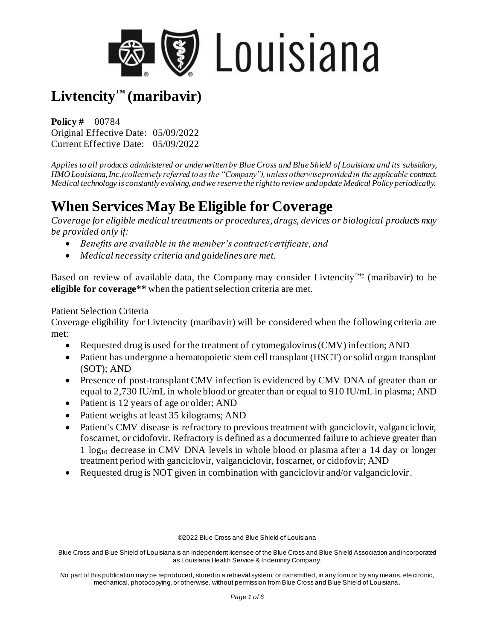

**Policy #** 00784 Original Effective Date: 05/09/2022 Current Effective Date: 05/09/2022

*Applies to all products administered or underwritten by Blue Cross and Blue Shield of Louisiana and its subsidiary, HMO Louisiana, Inc.(collectively referred to as the "Company"), unless otherwise provided in the applicable contract. Medical technology is constantly evolving, and we reserve the right to review and update Medical Policy periodically.*

## **When Services May Be Eligible for Coverage**

*Coverage for eligible medical treatments or procedures, drugs, devices or biological products may be provided only if:*

- *Benefits are available in the member's contract/certificate, and*
- *Medical necessity criteria and guidelines are met.*

Based on review of available data, the Company may consider Livtencity<sup>™‡</sup> (maribavir) to be **eligible for coverage\*\*** when the patient selection criteria are met.

#### Patient Selection Criteria

Coverage eligibility for Livtencity (maribavir) will be considered when the following criteria are met:

- Requested drug is used for the treatment of cytomegalovirus (CMV) infection; AND
- Patient has undergone a hematopoietic stem cell transplant (HSCT) or solid organ transplant (SOT); AND
- Presence of post-transplant CMV infection is evidenced by CMV DNA of greater than or equal to 2,730 IU/mL in whole blood or greater than or equal to 910 IU/mL in plasma; AND
- Patient is 12 years of age or older; AND
- Patient weighs at least 35 kilograms; AND
- Patient's CMV disease is refractory to previous treatment with ganciclovir, valganciclovir, foscarnet, or cidofovir. Refractory is defined as a documented failure to achieve greater than 1 log<sup>10</sup> decrease in CMV DNA levels in whole blood or plasma after a 14 day or longer treatment period with ganciclovir, valganciclovir, foscarnet, or cidofovir; AND
- Requested drug is NOT given in combination with ganciclovir and/or valganciclovir.

©2022 Blue Cross and Blue Shield of Louisiana

Blue Cross and Blue Shield of Louisiana is an independent licensee of the Blue Cross and Blue Shield Association and incorporated as Louisiana Health Service & Indemnity Company.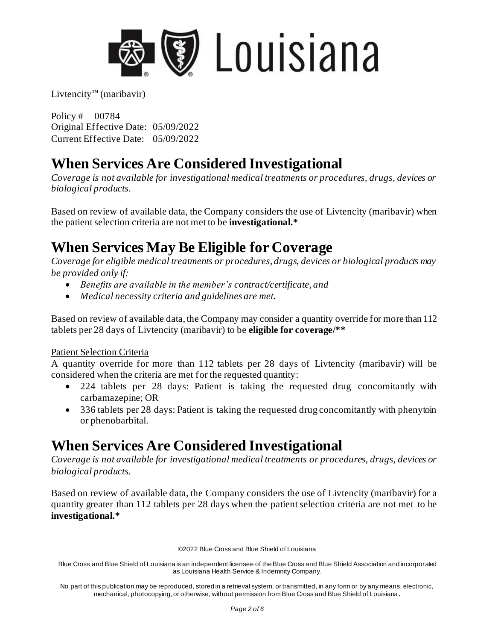

Policy # 00784 Original Effective Date: 05/09/2022 Current Effective Date: 05/09/2022

## **When Services Are Considered Investigational**

*Coverage is not available for investigational medical treatments or procedures, drugs, devices or biological products.*

Based on review of available data, the Company considers the use of Livtencity (maribavir) when the patient selection criteria are not met to be **investigational.\***

# **When Services May Be Eligible for Coverage**

*Coverage for eligible medical treatments or procedures, drugs, devices or biological products may be provided only if:*

- *Benefits are available in the member's contract/certificate, and*
- *Medical necessity criteria and guidelines are met.*

Based on review of available data, the Company may consider a quantity override for more than 112 tablets per 28 days of Livtencity (maribavir) to be **eligible for coverage/\*\***

#### Patient Selection Criteria

A quantity override for more than 112 tablets per 28 days of Livtencity (maribavir) will be considered when the criteria are met for the requested quantity:

- 224 tablets per 28 days: Patient is taking the requested drug concomitantly with carbamazepine; OR
- 336 tablets per 28 days: Patient is taking the requested drug concomitantly with phenytoin or phenobarbital.

# **When Services Are Considered Investigational**

*Coverage is not available for investigational medical treatments or procedures, drugs, devices or biological products.*

Based on review of available data, the Company considers the use of Livtencity (maribavir) for a quantity greater than 112 tablets per 28 days when the patient selection criteria are not met to be **investigational.\***

©2022 Blue Cross and Blue Shield of Louisiana

Blue Cross and Blue Shield of Louisiana is an independent licensee of the Blue Cross and Blue Shield Association and incorporated as Louisiana Health Service & Indemnity Company.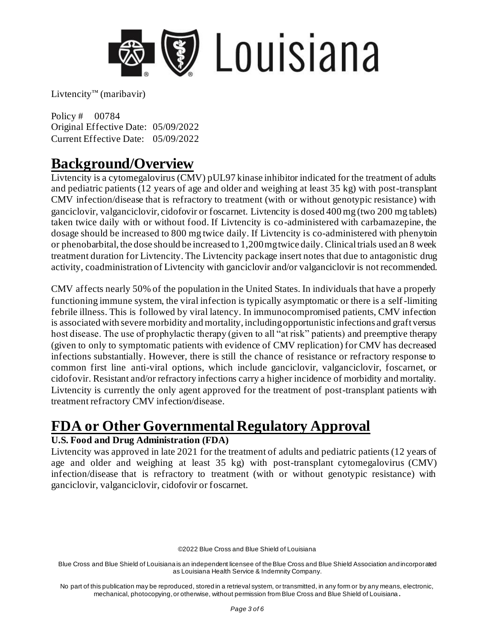

Policy # 00784 Original Effective Date: 05/09/2022 Current Effective Date: 05/09/2022

### **Background/Overview**

Livtencity is a cytomegalovirus (CMV) pUL97 kinase inhibitor indicated for the treatment of adults and pediatric patients (12 years of age and older and weighing at least 35 kg) with post-transplant CMV infection/disease that is refractory to treatment (with or without genotypic resistance) with ganciclovir, valganciclovir, cidofovir or foscarnet. Livtencity is dosed 400 mg (two 200 mg tablets) taken twice daily with or without food. If Livtencity is co-administered with carbamazepine, the dosage should be increased to 800 mg twice daily. If Livtencity is co-administered with phenytoin or phenobarbital, the dose should be increased to 1,200 mg twice daily. Clinical trials used an 8 week treatment duration for Livtencity. The Livtencity package insert notes that due to antagonistic drug activity, coadministration of Livtencity with ganciclovir and/or valganciclovir is not recommended.

CMV affects nearly 50% of the population in the United States. In individuals that have a properly functioning immune system, the viral infection is typically asymptomatic or there is a self-limiting febrile illness. This is followed by viral latency. In immunocompromised patients, CMV infection is associated with severe morbidity and mortality, including opportunistic infections and graft versus host disease. The use of prophylactic therapy (given to all "at risk" patients) and preemptive therapy (given to only to symptomatic patients with evidence of CMV replication) for CMV has decreased infections substantially. However, there is still the chance of resistance or refractory response to common first line anti-viral options, which include ganciclovir, valganciclovir, foscarnet, or cidofovir. Resistant and/or refractory infections carry a higher incidence of morbidity and mortality. Livtencity is currently the only agent approved for the treatment of post-transplant patients with treatment refractory CMV infection/disease.

# **FDA or Other Governmental Regulatory Approval**

#### **U.S. Food and Drug Administration (FDA)**

Livtencity was approved in late 2021 for the treatment of adults and pediatric patients (12 years of age and older and weighing at least 35 kg) with post-transplant cytomegalovirus (CMV) infection/disease that is refractory to treatment (with or without genotypic resistance) with ganciclovir, valganciclovir, cidofovir or foscarnet.

©2022 Blue Cross and Blue Shield of Louisiana

Blue Cross and Blue Shield of Louisiana is an independent licensee of the Blue Cross and Blue Shield Association and incorporated as Louisiana Health Service & Indemnity Company.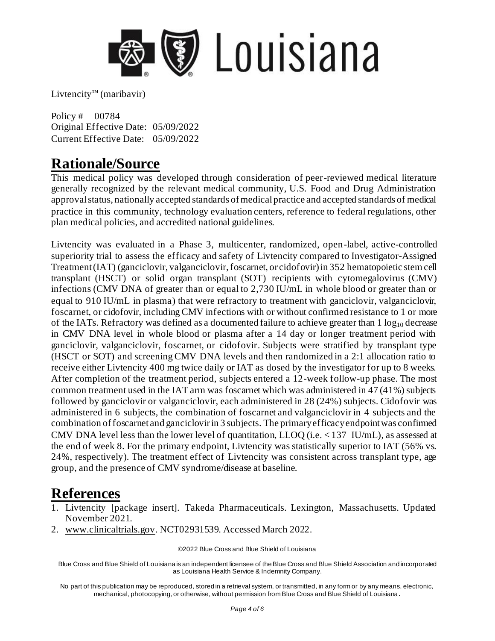

Policy # 00784 Original Effective Date: 05/09/2022 Current Effective Date: 05/09/2022

### **Rationale/Source**

This medical policy was developed through consideration of peer-reviewed medical literature generally recognized by the relevant medical community, U.S. Food and Drug Administration approval status, nationally accepted standards of medical practice and accepted standards of medical practice in this community, technology evaluation centers, reference to federal regulations, other plan medical policies, and accredited national guidelines.

Livtencity was evaluated in a Phase 3, multicenter, randomized, open-label, active-controlled superiority trial to assess the efficacy and safety of Livtencity compared to Investigator-Assigned Treatment (IAT) (ganciclovir, valganciclovir, foscarnet, or cidofovir) in 352 hematopoietic stem cell transplant (HSCT) or solid organ transplant (SOT) recipients with cytomegalovirus (CMV) infections (CMV DNA of greater than or equal to 2,730 IU/mL in whole blood or greater than or equal to 910 IU/mL in plasma) that were refractory to treatment with ganciclovir, valganciclovir, foscarnet, or cidofovir, including CMV infections with or without confirmed resistance to 1 or more of the IATs. Refractory was defined as a documented failure to achieve greater than  $1 \log_{10}$  decrease in CMV DNA level in whole blood or plasma after a 14 day or longer treatment period with ganciclovir, valganciclovir, foscarnet, or cidofovir. Subjects were stratified by transplant type (HSCT or SOT) and screening CMV DNA levels and then randomized in a 2:1 allocation ratio to receive either Livtencity 400 mg twice daily or IAT as dosed by the investigator for up to 8 weeks. After completion of the treatment period, subjects entered a 12-week follow-up phase. The most common treatment used in the IAT arm was foscarnet which was administered in 47 (41%) subjects followed by ganciclovir or valganciclovir, each administered in 28 (24%) subjects. Cidofovir was administered in 6 subjects, the combination of foscarnet and valganciclovir in 4 subjects and the combination of foscarnet and ganciclovir in 3 subjects. The primary efficacy endpoint was confirmed CMV DNA level less than the lower level of quantitation, LLOQ (i.e. < 137 IU/mL), as assessed at the end of week 8. For the primary endpoint, Livtencity was statistically superior to IAT (56% vs. 24%, respectively). The treatment effect of Livtencity was consistent across transplant type, age group, and the presence of CMV syndrome/disease at baseline.

### **References**

- 1. Livtencity [package insert]. Takeda Pharmaceuticals. Lexington, Massachusetts. Updated November 2021.
- 2. [www.clinicaltrials.gov.](http://www.clinicaltrials.gov/) NCT02931539. Accessed March 2022.

©2022 Blue Cross and Blue Shield of Louisiana

Blue Cross and Blue Shield of Louisiana is an independent licensee of the Blue Cross and Blue Shield Association and incorporated as Louisiana Health Service & Indemnity Company.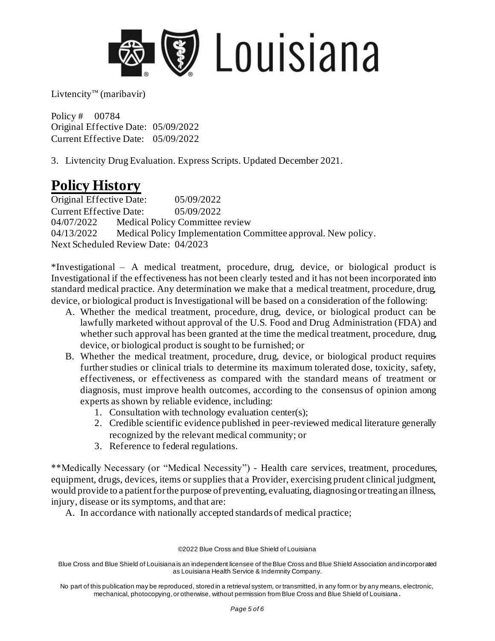

Policy # 00784 Original Effective Date: 05/09/2022 Current Effective Date: 05/09/2022

3. Livtencity Drug Evaluation. Express Scripts. Updated December 2021.

## **Policy History**

Original Effective Date: 05/09/2022 Current Effective Date: 05/09/2022 04/07/2022 Medical Policy Committee review 04/13/2022 Medical Policy Implementation Committee approval. New policy. Next Scheduled Review Date: 04/2023

\*Investigational – A medical treatment, procedure, drug, device, or biological product is Investigational if the effectiveness has not been clearly tested and it has not been incorporated into standard medical practice. Any determination we make that a medical treatment, procedure, drug, device, or biological product is Investigational will be based on a consideration of the following:

- A. Whether the medical treatment, procedure, drug, device, or biological product can be lawfully marketed without approval of the U.S. Food and Drug Administration (FDA) and whether such approval has been granted at the time the medical treatment, procedure, drug, device, or biological product is sought to be furnished; or
- B. Whether the medical treatment, procedure, drug, device, or biological product requires further studies or clinical trials to determine its maximum tolerated dose, toxicity, safety, effectiveness, or effectiveness as compared with the standard means of treatment or diagnosis, must improve health outcomes, according to the consensus of opinion among experts as shown by reliable evidence, including:
	- 1. Consultation with technology evaluation center(s);
	- 2. Credible scientific evidence published in peer-reviewed medical literature generally recognized by the relevant medical community; or
	- 3. Reference to federal regulations.

\*\*Medically Necessary (or "Medical Necessity") - Health care services, treatment, procedures, equipment, drugs, devices, items or supplies that a Provider, exercising prudent clinical judgment, would provide to a patient for the purpose of preventing, evaluating, diagnosing or treating an illness, injury, disease or its symptoms, and that are:

A. In accordance with nationally accepted standards of medical practice;

©2022 Blue Cross and Blue Shield of Louisiana

Blue Cross and Blue Shield of Louisiana is an independent licensee of the Blue Cross and Blue Shield Association and incorporated as Louisiana Health Service & Indemnity Company.